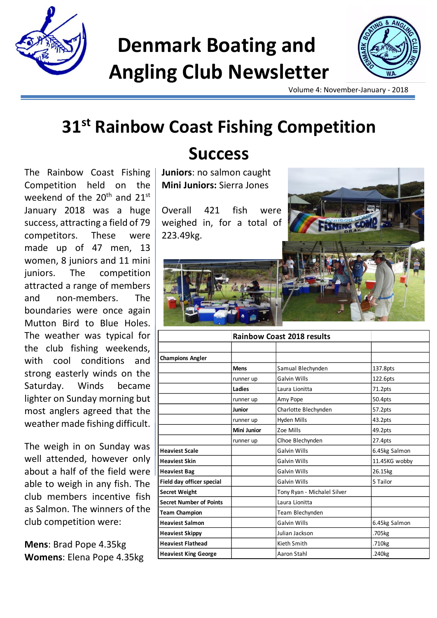

# **Denmark Boating and Angling Club Newsletter**



Volume 4: November-January - 2018

## **31st Rainbow Coast Fishing Competition**

The Rainbow Coast Fishing Competition held on the weekend of the 20<sup>th</sup> and 21<sup>st</sup> January 2018 was a huge success, attracting a field of 79 competitors. These were made up of 47 men, 13 women, 8 juniors and 11 mini juniors. The competition attracted a range of members and non-members. The boundaries were once again Mutton Bird to Blue Holes. The weather was typical for the club fishing weekends, with cool conditions and strong easterly winds on the Saturday. Winds became lighter on Sunday morning but most anglers agreed that the weather made fishing difficult.

The weigh in on Sunday was well attended, however only about a half of the field were able to weigh in any fish. The club members incentive fish as Salmon. The winners of the club competition were:

**Mens**: Brad Pope 4.35kg **Womens**: Elena Pope 4.35kg

### **Success**

**Juniors**: no salmon caught **Mini Juniors:** Sierra Jones

Overall 421 fish were weighed in, for a total of 223.49kg.



|                                | <b>Rainbow Coast 2018 results</b> |                             |                    |
|--------------------------------|-----------------------------------|-----------------------------|--------------------|
|                                |                                   |                             |                    |
| <b>Champions Angler</b>        |                                   |                             |                    |
|                                | <b>Mens</b>                       | Samual Blechynden           | 137.8pts           |
|                                | runner up                         | <b>Galvin Wills</b>         | 122.6pts           |
|                                | Ladies                            | Laura Lionitta              | 71.2pts            |
|                                | runner up                         | Amy Pope                    | 50.4pts            |
|                                | <b>Junior</b>                     | Charlotte Blechynden        | 57.2pts            |
|                                | runner up                         | Hyden Mills                 | 43.2pts            |
|                                | <b>Mini Junior</b>                | Zoe Mills                   | 49.2pts            |
|                                | runner up                         | Clhoe Blechynden            | 27.4pts            |
| <b>Heaviest Scale</b>          |                                   | Galvin Wills                | 6.45kg Salmon      |
| <b>Heaviest Skin</b>           |                                   | <b>Galvin Wills</b>         | 11.45KG wobby      |
| <b>Heaviest Bag</b>            |                                   | <b>Galvin Wills</b>         | 26.15kg            |
| Field day officer special      |                                   | Galvin Wills                | 5 Tailor           |
| <b>Secret Weight</b>           |                                   | Tony Ryan - Michalel Silver |                    |
| <b>Secret Number of Points</b> |                                   | Laura Lionitta              |                    |
| <b>Team Champion</b>           |                                   | Team Blechynden             |                    |
| <b>Heaviest Salmon</b>         |                                   | <b>Galvin Wills</b>         | 6.45kg Salmon      |
| <b>Heaviest Skippy</b>         |                                   | Julian Jackson              | .705kg             |
| <b>Heaviest Flathead</b>       |                                   | Kieth Smith                 | .710 <sub>kg</sub> |
| <b>Heaviest King George</b>    |                                   | Aaron Stahl                 | .240kg             |